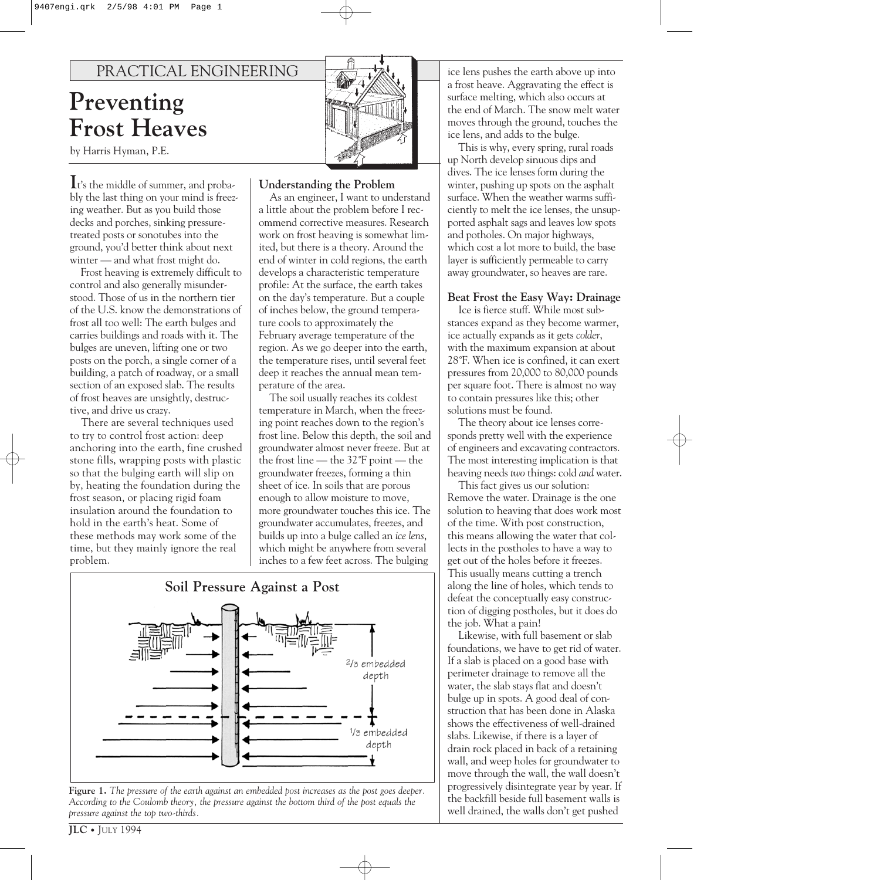# PRACTICAL ENGINEERING

# **Preventing Frost Heaves**

by Harris Hyman, P.E.

**I**t's the middle of summer, and probably the last thing on your mind is freezing weather. But as you build those decks and porches, sinking pressuretreated posts or sonotubes into the ground, you'd better think about next winter — and what frost might do.

Frost heaving is extremely difficult to control and also generally misunderstood. Those of us in the northern tier of the U.S. know the demonstrations of frost all too well: The earth bulges and carries buildings and roads with it. The bulges are uneven, lifting one or two posts on the porch, a single corner of a building, a patch of roadway, or a small section of an exposed slab. The results of frost heaves are unsightly, destructive, and drive us crazy.

There are several techniques used to try to control frost action: deep anchoring into the earth, fine crushed stone fills, wrapping posts with plastic so that the bulging earth will slip on by, heating the foundation during the frost season, or placing rigid foam insulation around the foundation to hold in the earth's heat. Some of these methods may work some of the time, but they mainly ignore the real problem.



### **Understanding the Problem**

As an engineer, I want to understand a little about the problem before I recommend corrective measures. Research work on frost heaving is somewhat limited, but there is a theory. Around the end of winter in cold regions, the earth develops a characteristic temperature profile: At the surface, the earth takes on the day's temperature. But a couple of inches below, the ground temperature cools to approximately the February average temperature of the region. As we go deeper into the earth, the temperature rises, until several feet deep it reaches the annual mean temperature of the area.

The soil usually reaches its coldest temperature in March, when the freezing point reaches down to the region's frost line. Below this depth, the soil and groundwater almost never freeze. But at the frost line — the 32˚F point — the groundwater freezes, forming a thin sheet of ice. In soils that are porous enough to allow moisture to move, more groundwater touches this ice. The groundwater accumulates, freezes, and builds up into a bulge called an *ice lens*, which might be anywhere from several inches to a few feet across. The bulging



**Figure 1.** *The pressure of the earth against an embedded post increases as the post goes deeper. According to the Coulomb theory, the pressure against the bottom third of the post equals the pressure against the top two-thirds.*

ice lens pushes the earth above up into a frost heave. Aggravating the effect is surface melting, which also occurs at the end of March. The snow melt water moves through the ground, touches the ice lens, and adds to the bulge.

This is why, every spring, rural roads up North develop sinuous dips and dives. The ice lenses form during the winter, pushing up spots on the asphalt surface. When the weather warms sufficiently to melt the ice lenses, the unsupported asphalt sags and leaves low spots and potholes. On major highways, which cost a lot more to build, the base layer is sufficiently permeable to carry away groundwater, so heaves are rare.

#### **Beat Frost the Easy Way: Drainage**

Ice is fierce stuff. While most substances expand as they become warmer, ice actually expands as it gets *colder*, with the maximum expansion at about 28˚F. When ice is confined, it can exert pressures from 20,000 to 80,000 pounds per square foot. There is almost no way to contain pressures like this; other solutions must be found.

The theory about ice lenses corresponds pretty well with the experience of engineers and excavating contractors. The most interesting implication is that heaving needs *two* things: cold *and* water.

This fact gives us our solution: Remove the water. Drainage is the one solution to heaving that does work most of the time. With post construction, this means allowing the water that collects in the postholes to have a way to get out of the holes before it freezes. This usually means cutting a trench along the line of holes, which tends to defeat the conceptually easy construction of digging postholes, but it does do the job. What a pain!

Likewise, with full basement or slab foundations, we have to get rid of water. If a slab is placed on a good base with perimeter drainage to remove all the water, the slab stays flat and doesn't bulge up in spots. A good deal of construction that has been done in Alaska shows the effectiveness of well-drained slabs. Likewise, if there is a layer of drain rock placed in back of a retaining wall, and weep holes for groundwater to move through the wall, the wall doesn't progressively disintegrate year by year. If the backfill beside full basement walls is well drained, the walls don't get pushed